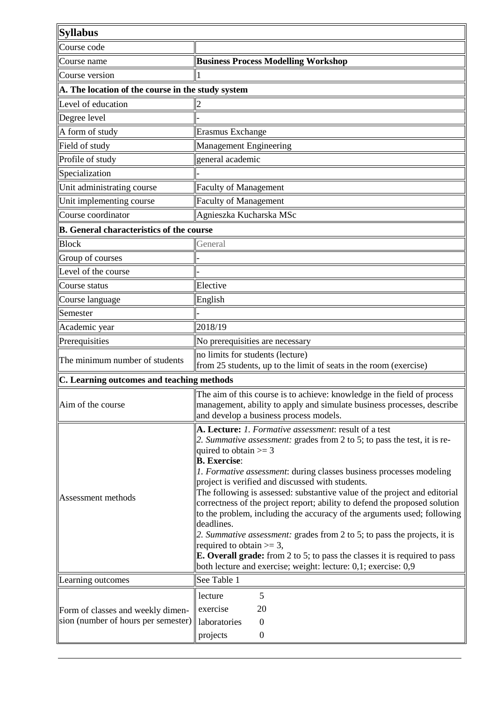| <b>Syllabus</b>                                                          |                                                                                                                                                                                                                                                                                                                                                                                                                                                                                                                                                                                                                                                                                                                                                                                                                                       |
|--------------------------------------------------------------------------|---------------------------------------------------------------------------------------------------------------------------------------------------------------------------------------------------------------------------------------------------------------------------------------------------------------------------------------------------------------------------------------------------------------------------------------------------------------------------------------------------------------------------------------------------------------------------------------------------------------------------------------------------------------------------------------------------------------------------------------------------------------------------------------------------------------------------------------|
| Course code                                                              |                                                                                                                                                                                                                                                                                                                                                                                                                                                                                                                                                                                                                                                                                                                                                                                                                                       |
| Course name                                                              | <b>Business Process Modelling Workshop</b>                                                                                                                                                                                                                                                                                                                                                                                                                                                                                                                                                                                                                                                                                                                                                                                            |
| Course version                                                           |                                                                                                                                                                                                                                                                                                                                                                                                                                                                                                                                                                                                                                                                                                                                                                                                                                       |
| A. The location of the course in the study system                        |                                                                                                                                                                                                                                                                                                                                                                                                                                                                                                                                                                                                                                                                                                                                                                                                                                       |
| Level of education                                                       | $\overline{2}$                                                                                                                                                                                                                                                                                                                                                                                                                                                                                                                                                                                                                                                                                                                                                                                                                        |
| Degree level                                                             |                                                                                                                                                                                                                                                                                                                                                                                                                                                                                                                                                                                                                                                                                                                                                                                                                                       |
| A form of study                                                          | Erasmus Exchange                                                                                                                                                                                                                                                                                                                                                                                                                                                                                                                                                                                                                                                                                                                                                                                                                      |
| Field of study                                                           | Management Engineering                                                                                                                                                                                                                                                                                                                                                                                                                                                                                                                                                                                                                                                                                                                                                                                                                |
| Profile of study                                                         | general academic                                                                                                                                                                                                                                                                                                                                                                                                                                                                                                                                                                                                                                                                                                                                                                                                                      |
| Specialization                                                           |                                                                                                                                                                                                                                                                                                                                                                                                                                                                                                                                                                                                                                                                                                                                                                                                                                       |
| Unit administrating course                                               | <b>Faculty of Management</b>                                                                                                                                                                                                                                                                                                                                                                                                                                                                                                                                                                                                                                                                                                                                                                                                          |
| Unit implementing course                                                 | <b>Faculty of Management</b>                                                                                                                                                                                                                                                                                                                                                                                                                                                                                                                                                                                                                                                                                                                                                                                                          |
| Course coordinator                                                       | Agnieszka Kucharska MSc                                                                                                                                                                                                                                                                                                                                                                                                                                                                                                                                                                                                                                                                                                                                                                                                               |
| <b>B.</b> General characteristics of the course                          |                                                                                                                                                                                                                                                                                                                                                                                                                                                                                                                                                                                                                                                                                                                                                                                                                                       |
| <b>Block</b>                                                             | General                                                                                                                                                                                                                                                                                                                                                                                                                                                                                                                                                                                                                                                                                                                                                                                                                               |
| Group of courses                                                         |                                                                                                                                                                                                                                                                                                                                                                                                                                                                                                                                                                                                                                                                                                                                                                                                                                       |
| Level of the course                                                      |                                                                                                                                                                                                                                                                                                                                                                                                                                                                                                                                                                                                                                                                                                                                                                                                                                       |
| Course status                                                            | Elective                                                                                                                                                                                                                                                                                                                                                                                                                                                                                                                                                                                                                                                                                                                                                                                                                              |
| Course language                                                          | English                                                                                                                                                                                                                                                                                                                                                                                                                                                                                                                                                                                                                                                                                                                                                                                                                               |
| Semester                                                                 |                                                                                                                                                                                                                                                                                                                                                                                                                                                                                                                                                                                                                                                                                                                                                                                                                                       |
| Academic year                                                            | 2018/19                                                                                                                                                                                                                                                                                                                                                                                                                                                                                                                                                                                                                                                                                                                                                                                                                               |
| Prerequisities                                                           | No prerequisities are necessary                                                                                                                                                                                                                                                                                                                                                                                                                                                                                                                                                                                                                                                                                                                                                                                                       |
| The minimum number of students                                           | no limits for students (lecture)<br>from 25 students, up to the limit of seats in the room (exercise)                                                                                                                                                                                                                                                                                                                                                                                                                                                                                                                                                                                                                                                                                                                                 |
| C. Learning outcomes and teaching methods                                |                                                                                                                                                                                                                                                                                                                                                                                                                                                                                                                                                                                                                                                                                                                                                                                                                                       |
| Aim of the course                                                        | The aim of this course is to achieve: knowledge in the field of process<br>management, ability to apply and simulate business processes, describe<br>and develop a business process models.                                                                                                                                                                                                                                                                                                                                                                                                                                                                                                                                                                                                                                           |
| Assessment methods                                                       | A. Lecture: 1. Formative assessment: result of a test<br>2. Summative assessment: grades from 2 to 5; to pass the test, it is re-<br>quired to obtain $>= 3$<br><b>B.</b> Exercise:<br>1. Formative assessment: during classes business processes modeling<br>project is verified and discussed with students.<br>The following is assessed: substantive value of the project and editorial<br>correctness of the project report; ability to defend the proposed solution<br>to the problem, including the accuracy of the arguments used; following<br>deadlines.<br>2. Summative assessment: grades from 2 to 5; to pass the projects, it is<br>required to obtain $\geq 3$ ,<br><b>E. Overall grade:</b> from 2 to 5; to pass the classes it is required to pass<br>both lecture and exercise; weight: lecture: 0,1; exercise: 0,9 |
| Learning outcomes                                                        | See Table 1                                                                                                                                                                                                                                                                                                                                                                                                                                                                                                                                                                                                                                                                                                                                                                                                                           |
| Form of classes and weekly dimen-<br>sion (number of hours per semester) | 5<br>lecture<br>20<br>exercise<br>laboratories<br>$\overline{0}$<br>projects<br>$\boldsymbol{0}$                                                                                                                                                                                                                                                                                                                                                                                                                                                                                                                                                                                                                                                                                                                                      |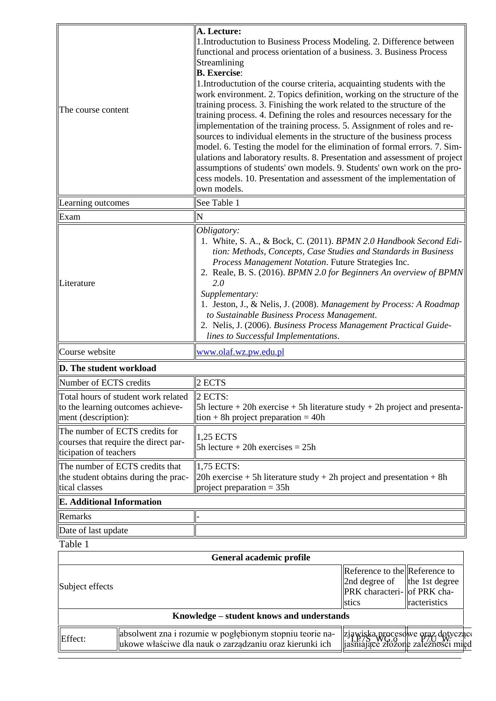| The course content                                                                               | A. Lecture:<br>1. Introductution to Business Process Modeling. 2. Difference between<br>functional and process orientation of a business. 3. Business Process<br>Streamlining<br><b>B.</b> Exercise:<br>1. Introductution of the course criteria, acquainting students with the<br>work environment. 2. Topics definition, working on the structure of the<br>training process. 3. Finishing the work related to the structure of the<br>training process. 4. Defining the roles and resources necessary for the<br>implementation of the training process. 5. Assignment of roles and re-<br>sources to individual elements in the structure of the business process<br>model. 6. Testing the model for the elimination of formal errors. 7. Sim-<br>ulations and laboratory results. 8. Presentation and assessment of project<br>assumptions of students' own models. 9. Students' own work on the pro-<br>cess models. 10. Presentation and assessment of the implementation of<br>own models. |                                                                                                                          |  |  |
|--------------------------------------------------------------------------------------------------|----------------------------------------------------------------------------------------------------------------------------------------------------------------------------------------------------------------------------------------------------------------------------------------------------------------------------------------------------------------------------------------------------------------------------------------------------------------------------------------------------------------------------------------------------------------------------------------------------------------------------------------------------------------------------------------------------------------------------------------------------------------------------------------------------------------------------------------------------------------------------------------------------------------------------------------------------------------------------------------------------|--------------------------------------------------------------------------------------------------------------------------|--|--|
| Learning outcomes                                                                                | See Table 1                                                                                                                                                                                                                                                                                                                                                                                                                                                                                                                                                                                                                                                                                                                                                                                                                                                                                                                                                                                        |                                                                                                                          |  |  |
| Exam                                                                                             | N                                                                                                                                                                                                                                                                                                                                                                                                                                                                                                                                                                                                                                                                                                                                                                                                                                                                                                                                                                                                  |                                                                                                                          |  |  |
| Literature                                                                                       | Obligatory:<br>1. White, S. A., & Bock, C. (2011). BPMN 2.0 Handbook Second Edi-<br>tion: Methods, Concepts, Case Studies and Standards in Business<br>Process Management Notation. Future Strategies Inc.<br>2. Reale, B. S. (2016). BPMN 2.0 for Beginners An overview of BPMN<br>2.0<br>Supplementary:<br>1. Jeston, J., & Nelis, J. (2008). Management by Process: A Roadmap<br>to Sustainable Business Process Management.<br>2. Nelis, J. (2006). Business Process Management Practical Guide-<br>lines to Successful Implementations.                                                                                                                                                                                                                                                                                                                                                                                                                                                       |                                                                                                                          |  |  |
| Course website                                                                                   | www.olaf.wz.pw.edu.pl                                                                                                                                                                                                                                                                                                                                                                                                                                                                                                                                                                                                                                                                                                                                                                                                                                                                                                                                                                              |                                                                                                                          |  |  |
| D. The student workload                                                                          |                                                                                                                                                                                                                                                                                                                                                                                                                                                                                                                                                                                                                                                                                                                                                                                                                                                                                                                                                                                                    |                                                                                                                          |  |  |
| Number of ECTS credits                                                                           | 2 ECTS                                                                                                                                                                                                                                                                                                                                                                                                                                                                                                                                                                                                                                                                                                                                                                                                                                                                                                                                                                                             |                                                                                                                          |  |  |
| Total hours of student work related<br>to the learning outcomes achieve-<br>ment (description):  | $ 2$ ECTS:<br>$\vert$ 5h lecture + 20h exercise + 5h literature study + 2h project and presenta-<br>$\vert$ tion + 8h project preparation = 40h                                                                                                                                                                                                                                                                                                                                                                                                                                                                                                                                                                                                                                                                                                                                                                                                                                                    |                                                                                                                          |  |  |
| The number of ECTS credits for<br>courses that require the direct par-<br>ticipation of teachers | $1,25$ ECTS<br>$5h$ lecture + 20h exercises = 25h                                                                                                                                                                                                                                                                                                                                                                                                                                                                                                                                                                                                                                                                                                                                                                                                                                                                                                                                                  |                                                                                                                          |  |  |
| The number of ECTS credits that<br>the student obtains during the prac-<br>tical classes         | 1,75 ECTS:<br>$ 20h$ exercise + 5h literature study + 2h project and presentation + 8h<br>project preparation $=$ 35h                                                                                                                                                                                                                                                                                                                                                                                                                                                                                                                                                                                                                                                                                                                                                                                                                                                                              |                                                                                                                          |  |  |
| <b>E.</b> Additional Information                                                                 |                                                                                                                                                                                                                                                                                                                                                                                                                                                                                                                                                                                                                                                                                                                                                                                                                                                                                                                                                                                                    |                                                                                                                          |  |  |
| Remarks                                                                                          |                                                                                                                                                                                                                                                                                                                                                                                                                                                                                                                                                                                                                                                                                                                                                                                                                                                                                                                                                                                                    |                                                                                                                          |  |  |
| Date of last update                                                                              |                                                                                                                                                                                                                                                                                                                                                                                                                                                                                                                                                                                                                                                                                                                                                                                                                                                                                                                                                                                                    |                                                                                                                          |  |  |
| Table 1                                                                                          |                                                                                                                                                                                                                                                                                                                                                                                                                                                                                                                                                                                                                                                                                                                                                                                                                                                                                                                                                                                                    |                                                                                                                          |  |  |
|                                                                                                  | General academic profile                                                                                                                                                                                                                                                                                                                                                                                                                                                                                                                                                                                                                                                                                                                                                                                                                                                                                                                                                                           |                                                                                                                          |  |  |
| Subject effects                                                                                  |                                                                                                                                                                                                                                                                                                                                                                                                                                                                                                                                                                                                                                                                                                                                                                                                                                                                                                                                                                                                    | Reference to the Reference to<br>2nd degree of<br>the 1st degree<br>PRK characteri- of PRK cha-<br>stics<br>racteristics |  |  |
|                                                                                                  | Knowledge - student knows and understands                                                                                                                                                                                                                                                                                                                                                                                                                                                                                                                                                                                                                                                                                                                                                                                                                                                                                                                                                          |                                                                                                                          |  |  |

| miea |  | Effect:                                                                            | l teorie na-<br>`nogłebionym<br>stopniu<br>rozumie<br>llabsolwent<br>zna<br>W. | zjawiska procesowe<br>$\prod_{i}$ T.P.75 $\mu$<br>W.<br>ີ | dotvezac<br>. oraz |
|------|--|------------------------------------------------------------------------------------|--------------------------------------------------------------------------------|-----------------------------------------------------------|--------------------|
|      |  | 1Ch<br>właściwe .<br>. oraz<br>. kierunki<br>nauk<br>zarzadzaniu<br>lukowe<br>-dia | złożone                                                                        | zależności                                                |                    |